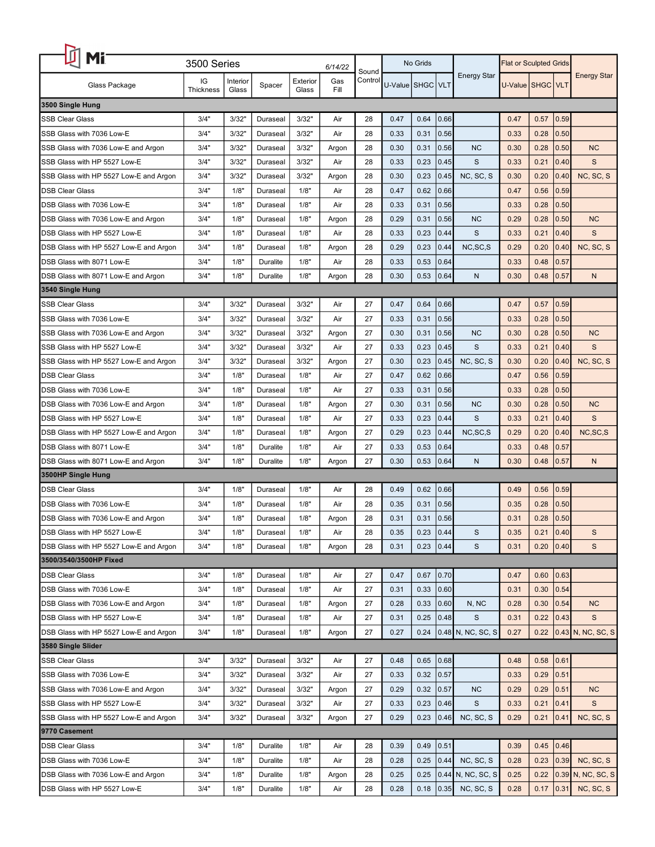| Mi                                     | 3500 Series<br>6/14/22 |          |                 |          |       |                  | No Grids             |      |      |                    | <b>Flat or Sculpted Grids</b> |      |      |                    |
|----------------------------------------|------------------------|----------|-----------------|----------|-------|------------------|----------------------|------|------|--------------------|-------------------------------|------|------|--------------------|
|                                        | IG                     | Interior |                 | Exterior | Gas   | Sound<br>Control |                      |      |      | <b>Energy Star</b> |                               |      |      | <b>Energy Star</b> |
| Glass Package                          | <b>Thickness</b>       | Glass    | Spacer          | Glass    | Fill  |                  | U-Value   SHGC   VLT |      |      |                    | U-Value   SHGC   VLT          |      |      |                    |
| 3500 Single Hung                       |                        |          |                 |          |       |                  |                      |      |      |                    |                               |      |      |                    |
| <b>SSB Clear Glass</b>                 | 3/4"                   | 3/32'    | Duraseal        | 3/32"    | Air   | 28               | 0.47                 | 0.64 | 0.66 |                    | 0.47                          | 0.57 | 0.59 |                    |
| SSB Glass with 7036 Low-E              | 3/4"                   | 3/32"    | Duraseal        | 3/32"    | Air   | 28               | 0.33                 | 0.31 | 0.56 |                    | 0.33                          | 0.28 | 0.50 |                    |
| SSB Glass with 7036 Low-E and Argon    | 3/4"                   | 3/32"    | Duraseal        | 3/32"    | Argon | 28               | 0.30                 | 0.31 | 0.56 | <b>NC</b>          | 0.30                          | 0.28 | 0.50 | <b>NC</b>          |
| SSB Glass with HP 5527 Low-E           | 3/4"                   | 3/32"    | Duraseal        | 3/32"    | Air   | 28               | 0.33                 | 0.23 | 0.45 | S                  | 0.33                          | 0.21 | 0.40 | S                  |
| SSB Glass with HP 5527 Low-E and Argon | 3/4"                   | 3/32"    | Duraseal        | 3/32"    | Argon | 28               | 0.30                 | 0.23 | 0.45 | NC, SC, S          | 0.30                          | 0.20 | 0.40 | NC, SC, S          |
| <b>DSB Clear Glass</b>                 | 3/4"                   | 1/8"     | Duraseal        | 1/8"     | Air   | 28               | 0.47                 | 0.62 | 0.66 |                    | 0.47                          | 0.56 | 0.59 |                    |
| DSB Glass with 7036 Low-E              | 3/4"                   | 1/8"     | Duraseal        | 1/8"     | Air   | 28               | 0.33                 | 0.31 | 0.56 |                    | 0.33                          | 0.28 | 0.50 |                    |
| DSB Glass with 7036 Low-E and Argon    | 3/4"                   | 1/8"     | Duraseal        | 1/8"     | Argon | 28               | 0.29                 | 0.31 | 0.56 | <b>NC</b>          | 0.29                          | 0.28 | 0.50 | <b>NC</b>          |
| DSB Glass with HP 5527 Low-E           | 3/4"                   | 1/8"     | Duraseal        | 1/8"     | Air   | 28               | 0.33                 | 0.23 | 0.44 | S                  | 0.33                          | 0.21 | 0.40 | S                  |
| DSB Glass with HP 5527 Low-E and Argon | 3/4"                   | 1/8"     | Duraseal        | 1/8"     | Argon | 28               | 0.29                 | 0.23 | 0.44 | NC, SC, S          | 0.29                          | 0.20 | 0.40 | NC, SC, S          |
| DSB Glass with 8071 Low-E              | 3/4"                   | 1/8"     | Duralite        | 1/8"     | Air   | 28               | 0.33                 | 0.53 | 0.64 |                    | 0.33                          | 0.48 | 0.57 |                    |
| DSB Glass with 8071 Low-E and Argon    | 3/4"                   | 1/8"     | Duralite        | 1/8"     | Argon | 28               | 0.30                 | 0.53 | 0.64 | N                  | 0.30                          | 0.48 | 0.57 | N                  |
| 3540 Single Hung                       |                        |          |                 |          |       |                  |                      |      |      |                    |                               |      |      |                    |
| <b>SSB Clear Glass</b>                 | 3/4"                   | 3/32"    | Duraseal        | 3/32"    | Air   | 27               | 0.47                 | 0.64 | 0.66 |                    | 0.47                          | 0.57 | 0.59 |                    |
| SSB Glass with 7036 Low-E              | 3/4"                   | 3/32"    | Duraseal        | 3/32"    | Air   | 27               | 0.33                 | 0.31 | 0.56 |                    | 0.33                          | 0.28 | 0.50 |                    |
| SSB Glass with 7036 Low-E and Argon    | 3/4"                   | 3/32"    | Duraseal        | 3/32"    | Argon | 27               | 0.30                 | 0.31 | 0.56 | <b>NC</b>          | 0.30                          | 0.28 | 0.50 | <b>NC</b>          |
| SSB Glass with HP 5527 Low-E           | 3/4"                   | 3/32"    | Duraseal        | 3/32"    | Air   | 27               | 0.33                 | 0.23 | 0.45 | S                  | 0.33                          | 0.21 | 0.40 | S                  |
| SSB Glass with HP 5527 Low-E and Argon | 3/4"                   | 3/32"    | Duraseal        | 3/32"    | Argon | 27               | 0.30                 | 0.23 | 0.45 | NC, SC, S          | 0.30                          | 0.20 | 0.40 | NC, SC, S          |
| <b>DSB Clear Glass</b>                 | 3/4"                   | 1/8"     | Duraseal        | 1/8"     | Air   | 27               | 0.47                 | 0.62 | 0.66 |                    | 0.47                          | 0.56 | 0.59 |                    |
| DSB Glass with 7036 Low-E              | 3/4"                   | 1/8"     | Duraseal        | 1/8"     | Air   | 27               | 0.33                 | 0.31 | 0.56 |                    | 0.33                          | 0.28 | 0.50 |                    |
| DSB Glass with 7036 Low-E and Argon    | 3/4"                   | 1/8"     | Duraseal        | 1/8"     | Argon | 27               | 0.30                 | 0.31 | 0.56 | <b>NC</b>          | 0.30                          | 0.28 | 0.50 | <b>NC</b>          |
| DSB Glass with HP 5527 Low-E           | 3/4"                   | 1/8"     | Duraseal        | 1/8"     | Air   | 27               | 0.33                 | 0.23 | 0.44 | S                  | 0.33                          | 0.21 | 0.40 | S                  |
| DSB Glass with HP 5527 Low-E and Argon | 3/4"                   | 1/8"     | Duraseal        | 1/8"     | Argon | 27               | 0.29                 | 0.23 | 0.44 | NC, SC, S          | 0.29                          | 0.20 | 0.40 | NC, SC, S          |
| DSB Glass with 8071 Low-E              | 3/4"                   | 1/8"     | <b>Duralite</b> | 1/8"     | Air   | 27               | 0.33                 | 0.53 | 0.64 |                    | 0.33                          | 0.48 | 0.57 |                    |
| DSB Glass with 8071 Low-E and Argon    | 3/4"                   | 1/8"     | <b>Duralite</b> | 1/8"     | Argon | 27               | 0.30                 | 0.53 | 0.64 | N                  | 0.30                          | 0.48 | 0.57 | $\mathsf{N}$       |
| 3500HP Single Hung                     |                        |          |                 |          |       |                  |                      |      |      |                    |                               |      |      |                    |
| <b>DSB Clear Glass</b>                 | 3/4"                   | 1/8"     | Duraseal        | 1/8"     | Air   | 28               | 0.49                 | 0.62 | 0.66 |                    | 0.49                          | 0.56 | 0.59 |                    |
| DSB Glass with 7036 Low-E              | 3/4"                   | 1/8"     | Duraseal        | 1/8"     | Air   | 28               | 0.35                 | 0.31 | 0.56 |                    | 0.35                          | 0.28 | 0.50 |                    |
| DSB Glass with 7036 Low-E and Argon    | 3/4"                   | 1/8"     | Duraseal        | 1/8"     | Argon | 28               | 0.31                 | 0.31 | 0.56 |                    | 0.31                          | 0.28 | 0.50 |                    |
| DSB Glass with HP 5527 Low-E           | 3/4"                   | 1/8"     | Duraseal        | 1/8"     | Air   | 28               | 0.35                 | 0.23 | 0.44 | S                  | 0.35                          | 0.21 | 0.40 | S                  |
| DSB Glass with HP 5527 Low-E and Argon | 3/4"                   | 1/8"     | Duraseal        | 1/8"     | Argon | 28               | 0.31                 | 0.23 | 0.44 | S                  | 0.31                          | 0.20 | 0.40 | $\mathsf{s}$       |
| 3500/3540/3500HP Fixed                 |                        |          |                 |          |       |                  |                      |      |      |                    |                               |      |      |                    |
| <b>DSB Clear Glass</b>                 | 3/4"                   | 1/8"     | Duraseal        | 1/8"     | Air   | 27               | 0.47                 | 0.67 | 0.70 |                    | 0.47                          | 0.60 | 0.63 |                    |
| DSB Glass with 7036 Low-E              | 3/4"                   | 1/8"     | Duraseal        | 1/8"     | Air   | 27               | 0.31                 | 0.33 | 0.60 |                    | 0.31                          | 0.30 | 0.54 |                    |
| DSB Glass with 7036 Low-E and Argon    | 3/4"                   | 1/8"     | Duraseal        | 1/8"     | Argon | 27               | 0.28                 | 0.33 | 0.60 | N, NC              | 0.28                          | 0.30 | 0.54 | <b>NC</b>          |
| DSB Glass with HP 5527 Low-E           | 3/4"                   | 1/8"     | Duraseal        | 1/8"     | Air   | 27               | 0.31                 | 0.25 | 0.48 | S                  | 0.31                          | 0.22 | 0.43 | S                  |
| DSB Glass with HP 5527 Low-E and Argon | 3/4"                   | 1/8"     | Duraseal        | 1/8"     | Argon | 27               | 0.27                 | 0.24 |      | 0.48 N, NC, SC, S  | 0.27                          | 0.22 |      | 0.43 N, NC, SC, S  |
| 3580 Single Slider                     |                        |          |                 |          |       |                  |                      |      |      |                    |                               |      |      |                    |
| <b>SSB Clear Glass</b>                 | 3/4"                   | 3/32"    | Duraseal        | 3/32"    | Air   | 27               | 0.48                 | 0.65 | 0.68 |                    | 0.48                          | 0.58 | 0.61 |                    |
| SSB Glass with 7036 Low-E              | 3/4"                   | 3/32"    | Duraseal        | 3/32"    | Air   | 27               | 0.33                 | 0.32 | 0.57 |                    | 0.33                          | 0.29 | 0.51 |                    |
| SSB Glass with 7036 Low-E and Argon    | 3/4"                   | 3/32"    | Duraseal        | 3/32"    | Argon | 27               | 0.29                 | 0.32 | 0.57 | <b>NC</b>          | 0.29                          | 0.29 | 0.51 | <b>NC</b>          |
| SSB Glass with HP 5527 Low-E           | 3/4"                   | 3/32"    | Duraseal        | 3/32"    | Air   | 27               | 0.33                 | 0.23 | 0.46 | S                  | 0.33                          | 0.21 | 0.41 | S                  |
| SSB Glass with HP 5527 Low-E and Argon | 3/4"                   | 3/32"    | Duraseal        | 3/32"    |       | 27               | 0.29                 | 0.23 | 0.46 | NC, SC, S          | 0.29                          | 0.21 | 0.41 | NC, SC, S          |
| 9770 Casement                          |                        |          |                 |          | Argon |                  |                      |      |      |                    |                               |      |      |                    |
| <b>DSB Clear Glass</b>                 | 3/4"                   | 1/8"     | Duralite        | 1/8"     | Air   | 28               | 0.39                 | 0.49 | 0.51 |                    | 0.39                          | 0.45 | 0.46 |                    |
| DSB Glass with 7036 Low-E              | 3/4"                   | 1/8"     | <b>Duralite</b> | 1/8"     | Air   | 28               | 0.28                 | 0.25 | 0.44 | NC, SC, S          | 0.28                          | 0.23 | 0.39 | NC, SC, S          |
|                                        |                        |          |                 |          |       |                  |                      |      |      |                    |                               |      |      |                    |
| DSB Glass with 7036 Low-E and Argon    | 3/4"                   | 1/8"     | Duralite        | 1/8"     | Argon | 28               | 0.25                 | 0.25 |      | 0.44 N, NC, SC, S  | 0.25                          | 0.22 |      | 0.39 N, NC, SC, S  |
| DSB Glass with HP 5527 Low-E           | 3/4"                   | 1/8"     | Duralite        | 1/8"     | Air   | 28               | 0.28                 | 0.18 | 0.35 | NC, SC, S          | 0.28                          | 0.17 | 0.31 | NC, SC, S          |